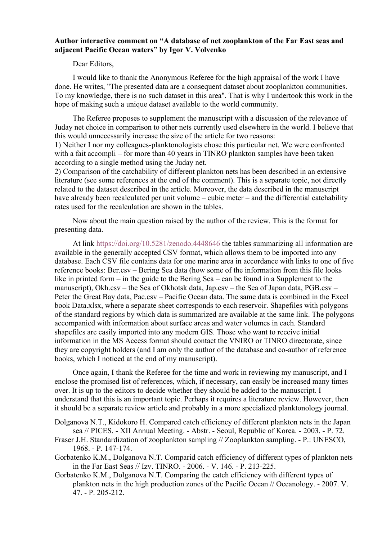## **Author interactive comment on "A database of net zooplankton of the Far East seas and adjacent Pacific Ocean waters" by Igor V. Volvenko**

Dear Editors,

I would like to thank the Anonymous Referee for the high appraisal of the work I have done. He writes, "The presented data are a consequent dataset about zooplankton communities. To my knowledge, there is no such dataset in this area". That is why I undertook this work in the hope of making such a unique dataset available to the world community.

The Referee proposes to supplement the manuscript with a discussion of the relevance of Juday net choice in comparison to other nets currently used elsewhere in the world. I believe that this would unnecessarily increase the size of the article for two reasons:

1) Neither I nor my colleagues-planktonologists chose this particular net. We were confronted with a fait accompli – for more than 40 years in TINRO plankton samples have been taken according to a single method using the Juday net.

2) Comparison of the catchability of different plankton nets has been described in an extensive literature (see some references at the end of the comment). This is a separate topic, not directly related to the dataset described in the article. Moreover, the data described in the manuscript have already been recalculated per unit volume – cubic meter – and the differential catchability rates used for the recalculation are shown in the tables.

Now about the main question raised by the author of the review. This is the format for presenting data.

At link https://doi.org/10.5281/zenodo.4448646 the tables summarizing all information are available in the generally accepted CSV format, which allows them to be imported into any database. Each CSV file contains data for one marine area in accordance with links to one of five reference books: Ber.csv – Bering Sea data (how some of the information from this file looks like in printed form – in the guide to the Bering Sea – can be found in a Supplement to the manuscript), Okh.csv – the Sea of Okhotsk data, Jap.csv – the Sea of Japan data, PGB.csv – Peter the Great Bay data, Pac.csv – Pacific Ocean data. The same data is combined in the Excel book Data.xlsx, where a separate sheet corresponds to each reservoir. Shapefiles with polygons of the standard regions by which data is summarized are available at the same link. The polygons accompanied with information about surface areas and water volumes in each. Standard shapefiles are easily imported into any modern GIS. Those who want to receive initial information in the MS Access format should contact the VNIRO or TINRO directorate, since they are copyright holders (and I am only the author of the database and co-author of reference books, which I noticed at the end of my manuscript).

Once again, I thank the Referee for the time and work in reviewing my manuscript, and I enclose the promised list of references, which, if necessary, can easily be increased many times over. It is up to the editors to decide whether they should be added to the manuscript. I understand that this is an important topic. Perhaps it requires a literature review. However, then it should be a separate review article and probably in a more specialized planktonology journal.

Dolganova N.T., Kidokoro H. Compared catch efficiency of different plankton nets in the Japan sea // PICES. - XII Annual Meeting. - Abstr. - Seoul, Republic of Korea. - 2003. - Р. 72.

Fraser J.H. Standardization of zooplankton sampling // Zooplankton sampling. - P.: UNESCO, 1968. - P. 147-174.

Gorbatenko K.M., Dolganova N.T. Comparid catch efficiency of different types of plankton nets in the Far East Seas // Izv. TINRO. - 2006. - V. 146. - P. 213-225.

Gorbatenko K.M., Dolganova N.T. Comparing the catch efficiency with different types of plankton nets in the high production zones of the Pacific Ocean // Oceanology. - 2007. V. 47. - P. 205-212.